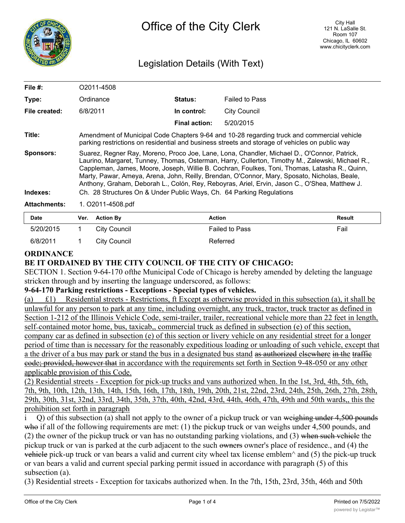

# Legislation Details (With Text)

| File $#$ :          | O2011-4508                                                                                                                                                                                                                                                                                                                                                                                                                                                                                        |                      |                       |
|---------------------|---------------------------------------------------------------------------------------------------------------------------------------------------------------------------------------------------------------------------------------------------------------------------------------------------------------------------------------------------------------------------------------------------------------------------------------------------------------------------------------------------|----------------------|-----------------------|
| Type:               | Ordinance                                                                                                                                                                                                                                                                                                                                                                                                                                                                                         | <b>Status:</b>       | <b>Failed to Pass</b> |
| File created:       | 6/8/2011                                                                                                                                                                                                                                                                                                                                                                                                                                                                                          | In control:          | <b>City Council</b>   |
|                     |                                                                                                                                                                                                                                                                                                                                                                                                                                                                                                   | <b>Final action:</b> | 5/20/2015             |
| Title:              | Amendment of Municipal Code Chapters 9-64 and 10-28 regarding truck and commercial vehicle<br>parking restrictions on residential and business streets and storage of vehicles on public way                                                                                                                                                                                                                                                                                                      |                      |                       |
| <b>Sponsors:</b>    | Suarez, Regner Ray, Moreno, Proco Joe, Lane, Lona, Chandler, Michael D., O'Connor, Patrick,<br>Laurino, Margaret, Tunney, Thomas, Osterman, Harry, Cullerton, Timothy M., Zalewski, Michael R.,<br>Cappleman, James, Moore, Joseph, Willie B. Cochran, Foulkes, Toni, Thomas, Latasha R., Quinn,<br>Marty, Pawar, Ameya, Arena, John, Reilly, Brendan, O'Connor, Mary, Sposato, Nicholas, Beale,<br>Anthony, Graham, Deborah L., Colón, Rey, Reboyras, Ariel, Ervin, Jason C., O'Shea, Matthew J. |                      |                       |
| Indexes:            | Ch. 28 Structures On & Under Public Ways, Ch. 64 Parking Regulations                                                                                                                                                                                                                                                                                                                                                                                                                              |                      |                       |
| <b>Attachments:</b> | 1. O2011-4508.pdf                                                                                                                                                                                                                                                                                                                                                                                                                                                                                 |                      |                       |
|                     |                                                                                                                                                                                                                                                                                                                                                                                                                                                                                                   |                      |                       |

**Date Ver. Action By Action Result** 5/20/2015 1 City Council Failed to Pass Fail 6/8/2011 1 City Council 2008 2011 Referred

### **ORDINANCE**

# **BE IT ORDAINED BY THE CITY COUNCIL OF THE CITY OF CHICAGO:**

SECTION 1. Section 9-64-170 ofthe Municipal Code of Chicago is hereby amended by deleting the language stricken through and by inserting the language underscored, as follows:

### **9-64-170 Parking restrictions - Exceptions - Special types of vehicles.**

(a) £1) Residential streets - Restrictions, ft Except as otherwise provided in this subsection (a), it shall be unlawful for any person to park at any time, including overnight, any truck, tractor, truck tractor as defined in Section 1-212 of the Illinois Vehicle Code, semi-trailer, trailer, recreational vehicle more than 22 feet in length, self=contained motor home, bus, taxicab,, commercial truck as defined in subsection (e) of this section, company car as defined in subsection (e) of this section or livery vehicle on any residential street for a longer period of time than is necessary for the reasonably expeditious loading or unloading of such vehicle, except that a the driver of a bus may park or stand the bus in a designated bus stand as authorized elsewhere in the traffic code; provided, however that in accordance with the requirements set forth in Section 9-48-050 or any other applicable provision of this Code.

(2) Residential streets - Exception for pick-up trucks and vans authorized when. In the 1st, 3rd, 4th, 5th, 6th, 7th, 9th, 10th, 12th, 13th, 14th, 15th, 16th, 17th, 18th, 19th, 20th, 21st, 22nd, 23rd, 24th, 25th, 26th, 27th, 28th, 29th, 30th, 31st, 32nd, 33rd, 34th, 35th, 37th, 40th, 42nd, 43rd, 44th, 46th, 47th, 49th and 50th wards,, this the prohibition set forth in paragraph

i Q) of this subsection (a) shall not apply to the owner of a pickup truck or van weighing under 4,500 pounds who if all of the following requirements are met:  $(1)$  the pickup truck or van weighs under 4,500 pounds, and (2) the owner of the pickup truck or van has no outstanding parking violations, and (3) when such vehicle the pickup truck or van is parked at the curb adjacent to the such owners owner's place of residence., and (4) the vehicle pick-up truck or van bears a valid and current city wheel tax license emblem $\land$  and (5) the pick-up truck or van bears a valid and current special parking permit issued in accordance with paragraph (5) of this subsection (a).

(3) Residential streets - Exception for taxicabs authorized when. In the 7th, 15th, 23rd, 35th, 46th and 50th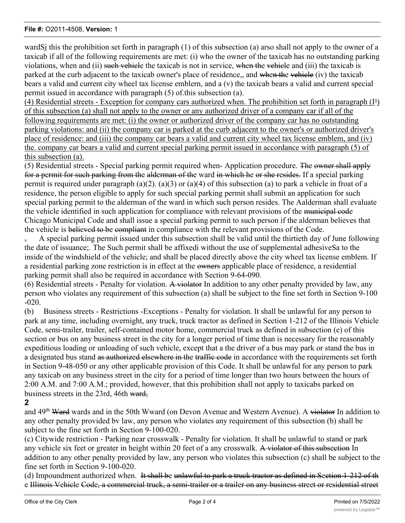#### **File #:** O2011-4508, **Version:** 1

wardSj this the prohibition set forth in paragraph (1) of this subsection (a) arso shall not apply to the owner of a taxicab if all of the following requirements are met: (i) who the owner of the taxicab has no outstanding parking violations, when and (ii) such vehicle the taxicab is not in service, when the vehicle and (iii) the taxicab is parked at the curb adjacent to the taxicab owner's place of residence,, and when the vehicle (iv) the taxicab bears a valid and current city wheel tax license emblern, and a (v) the taxicab bears a valid and current special permit issued in accordance with paragraph (5) of.this subsection (a).

 $(4)$  Residential streets - Exception for company cars authorized when. The prohibition set forth in paragraph ( $I^s$ ) of this subsection (a) shall not apply to the owner or any authorized driver of a company car if all of the following requirements are met: (i) the owner or authorized driver of the company car has no outstanding parking violations: and (ii) the company car is parked at the curb adjacent to the owner's or authorized driver's place of residence: and (iii) the company car bears a valid and current city wheel tax license emblem, and (iv) the. company car bears a valid and current special parking permit issued in accordance with paragraph (5) of this subsection (a).

(5) Residential streets - Special parking permit required when- Application procedure. The owner shall apply for a permit for such parking from the alderman of the ward in which he or she resides. If a special parking permit is required under paragraph (a)(2). (a)(3) or (a)(4) of this subsection (a) to park a vehicle in froat of a residence, the person eligible to apply for such special parking permit shall submit an application for such special parking permit to the alderman of the ward in which such person resides. The Aalderman shall evaluate the vehicle identified in such application for compliance with relevant provisions of the municipal code Chicago Municipal Code and shall issue a special parking permit to such person if the alderman believes that the vehicle is believed to be compliant in compliance with the relevant provisions of the Code.

A special parking permit issued under this subsection shall be valid until the thirtieth day of June following the date of issuance;. The Such permit shall be affixedi without the use of supplemental adhesiveSa to the inside of the windshield of the vehicle; and shall be placed directly above the city wheel tax license emblem. If a residential parking zone restriction is in effect at the owners applicable place of residence, a residential parking permit shall also be required in accordance with Section 9-64-090.

(6) Residential streets - Penalty for violation. A violator In addition to any other penalty provided by law, any person who violates any requirement of this subsection (a) shall be subject to the fine set forth in Section 9-100 -020.

(b) Business streets - Restrictions -Exceptions - Penalty for violation. It shall be unlawful for any person to park at any time, including overnight, any truck, truck tractor as defined in Section 1-212 of the Illinois Vehicle Code, semi-trailer, trailer, self-contained motor home, commercial truck as defined in subsection (e) of this section or bus on any business street in the city for a longer period of time than is necessary for the reasonably expeditious loading or unloading of such vehicle, except that a the driver of a bus may park or stand the bus in a designated bus stand as authorized elsewhere in the traffic code in accordance with the requirements set forth in Section 9-48-050 or any other applicable provision of this Code. It shall be unlawful for any person to park any taxicab on any business street in the city for a period of time longer than two hours between the hours of 2:00 A.M. and 7:00 A.M.; provided, however, that this prohibition shall not apply to taxicabs parked on business streets in the 23rd, 46th ward,

# **2**

and 49<sup>th</sup> Ward wards and in the 50th Wward (on Devon Avenue and Western Avenue). A violator In addition to any other penalty provided bv law, any person who violates any requirement of this subsection (b) shall be subject to the fine set forth in Section 9-100-020.

(c) Citywide restriction - Parking near crosswalk - Penalty for violation. It shall be unlawful to stand or park any vehicle six feet or greater in height within 20 feet of a any crosswalk. A violator of this subsection In addition to any other penalty provided by law, any person who violates this subsection (c) shall be subject to the fine set forth in Section 9-100-020.

(d) Impoundment authorized when. It shall be unlawful to park a truck tractor as defined in Section 1-212 of th e Illinois Vehicle Code, a commercial truck, a semi-trailer or a trailer on any business street or residential street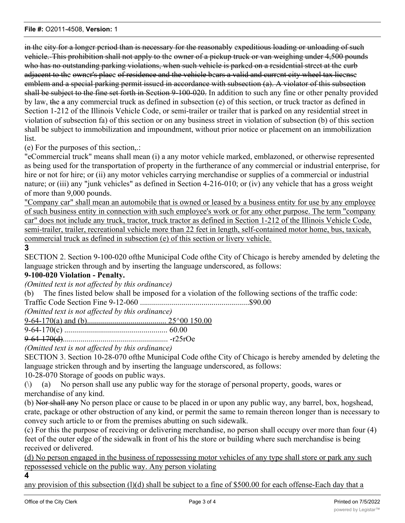in the city for a longer period than is necessary for the reasonably expeditious loading or unloading of such vehicle.-This prohibition shall not apply to the owner of a pickup truck or van weighing under 4,500 pounds who has no outstanding parking violations, when such vehicle is parked on a residential street at the curb adjacent to the owner's place of residence and the vehicle bears a valid and current city wheel tax license emblem and a special parking permit issued in accordance with subsection (a). A violator of this subsection shall be subject to the fine set forth in Section 9-100-020. In addition to such any fine or other penalty provided by law, the a any commercial truck as defined in subsection (e) of this section, or truck tractor as defined in Section 1-212 of the Illinois Vehicle Code, or semi-trailer or trailer that is parked on any residential street in violation of subsection fa) of this section or on any business street in violation of subsection (b) of this section shall be subject to immobilization and impoundment, without prior notice or placement on an immobilization list.

(e) For the purposes of this section,.:

"eCommercial truck" means shall mean (i) a any motor vehicle marked, emblazoned, or otherwise represented as being used for the transportation of property in the furtherance of any commercial or industrial enterprise, for hire or not for hire; or (ii) any motor vehicles carrying merchandise or supplies of a commercial or industrial nature; or (iii) any "junk vehicles" as defined in Section 4-216-010; or (iv) any vehicle that has a gross weight of more than 9,000 pounds.

"Company car" shall mean an automobile that is owned or leased by a business entity for use by any employee of such business entity in connection with such employee's work or for any other purpose. The term "company car" does not include any truck, tractor, truck tractor as defined in Section 1-212 of the Illinois Vehicle Code, semi-trailer, trailer, recreational vehicle more than 22 feet in length, self-contained motor home, bus, taxicab, commercial truck as defined in subsection (e) of this section or livery vehicle.

# **3**

SECTION 2. Section 9-100-020 ofthe Municipal Code ofthe City of Chicago is hereby amended by deleting the language stricken through and by inserting the language underscored, as follows:

# **9-100-020 Violation - Penalty.**

*(Omitted text is not affected by this ordinance)*

(b) The fines listed below shall be imposed for a violation of the following sections of the traffic code:

Traffic Code Section Fine 9-12-060 .......................................................\$90.00

*(Omitted text is not affected by this ordinance)*

9-64-170(a) and (b)........................................ 25^00 150.00

9-64-170(c) .................................................... 60.00

9-64-170(d)..................................................... -r25rOe

*(Omitted text is not affected by this ordinance)*

SECTION 3. Section 10-28-070 ofthe Municipal Code ofthe City of Chicago is hereby amended by deleting the language stricken through and by inserting the language underscored, as follows:

10-28-070 Storage of goods on public ways.

 $(\lambda)$  (a) No person shall use any public way for the storage of personal property, goods, wares or merchandise of any kind.

(b) Nor shall any No person place or cause to be placed in or upon any public way, any barrel, box, hogshead, crate, package or other obstruction of any kind, or permit the same to remain thereon longer than is necessary to convey such article to or from the premises abutting on such sidewalk.

(c) For this the purpose of receiving or delivering merchandise, no person shall occupy over more than four (4) feet of the outer edge of the sidewalk in front of his the store or building where such merchandise is being received or delivered.

(d) No person engaged in the business of repossessing motor vehicles of any type shall store or park any such repossessed vehicle on the public way. Any person violating

**4**

any provision of this subsection (1)(d) shall be subject to a fine of \$500.00 for each offense-Each day that a